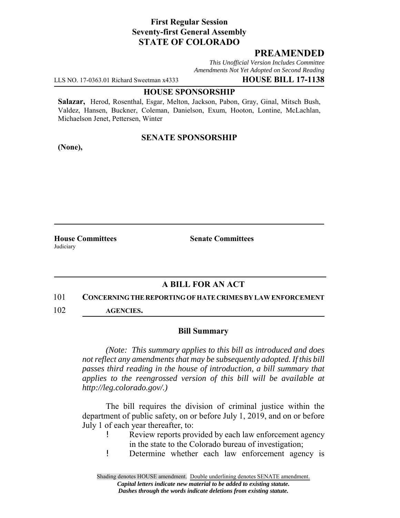# **First Regular Session Seventy-first General Assembly STATE OF COLORADO**

# **PREAMENDED**

*This Unofficial Version Includes Committee Amendments Not Yet Adopted on Second Reading*

LLS NO. 17-0363.01 Richard Sweetman x4333 **HOUSE BILL 17-1138**

### **HOUSE SPONSORSHIP**

**Salazar,** Herod, Rosenthal, Esgar, Melton, Jackson, Pabon, Gray, Ginal, Mitsch Bush, Valdez, Hansen, Buckner, Coleman, Danielson, Exum, Hooton, Lontine, McLachlan, Michaelson Jenet, Pettersen, Winter

### **SENATE SPONSORSHIP**

**(None),**

**Judiciary** 

**House Committees Senate Committees** 

# **A BILL FOR AN ACT**

#### 101 **CONCERNING THE REPORTING OF HATE CRIMES BY LAW ENFORCEMENT**

102 **AGENCIES.**

### **Bill Summary**

*(Note: This summary applies to this bill as introduced and does not reflect any amendments that may be subsequently adopted. If this bill passes third reading in the house of introduction, a bill summary that applies to the reengrossed version of this bill will be available at http://leg.colorado.gov/.)*

The bill requires the division of criminal justice within the department of public safety, on or before July 1, 2019, and on or before July 1 of each year thereafter, to:

- Review reports provided by each law enforcement agency in the state to the Colorado bureau of investigation;
- ! Determine whether each law enforcement agency is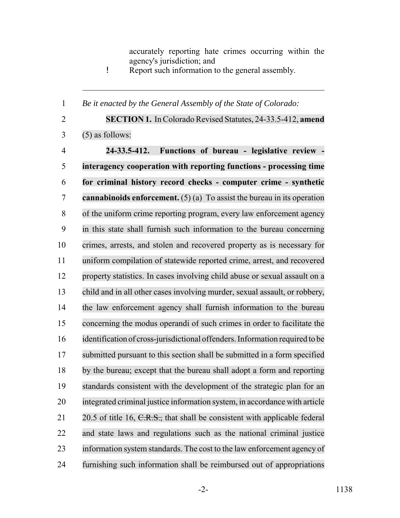accurately reporting hate crimes occurring within the agency's jurisdiction; and

! Report such information to the general assembly.

*Be it enacted by the General Assembly of the State of Colorado:*

 **SECTION 1.** In Colorado Revised Statutes, 24-33.5-412, **amend** (5) as follows: **24-33.5-412. Functions of bureau - legislative review - interagency cooperation with reporting functions - processing time for criminal history record checks - computer crime - synthetic cannabinoids enforcement.** (5) (a) To assist the bureau in its operation of the uniform crime reporting program, every law enforcement agency in this state shall furnish such information to the bureau concerning crimes, arrests, and stolen and recovered property as is necessary for uniform compilation of statewide reported crime, arrest, and recovered property statistics. In cases involving child abuse or sexual assault on a child and in all other cases involving murder, sexual assault, or robbery, the law enforcement agency shall furnish information to the bureau concerning the modus operandi of such crimes in order to facilitate the identification of cross-jurisdictional offenders. Information required to be submitted pursuant to this section shall be submitted in a form specified by the bureau; except that the bureau shall adopt a form and reporting standards consistent with the development of the strategic plan for an integrated criminal justice information system, in accordance with article 21 20.5 of title 16,  $C.R.S.,$  that shall be consistent with applicable federal and state laws and regulations such as the national criminal justice information system standards. The cost to the law enforcement agency of furnishing such information shall be reimbursed out of appropriations